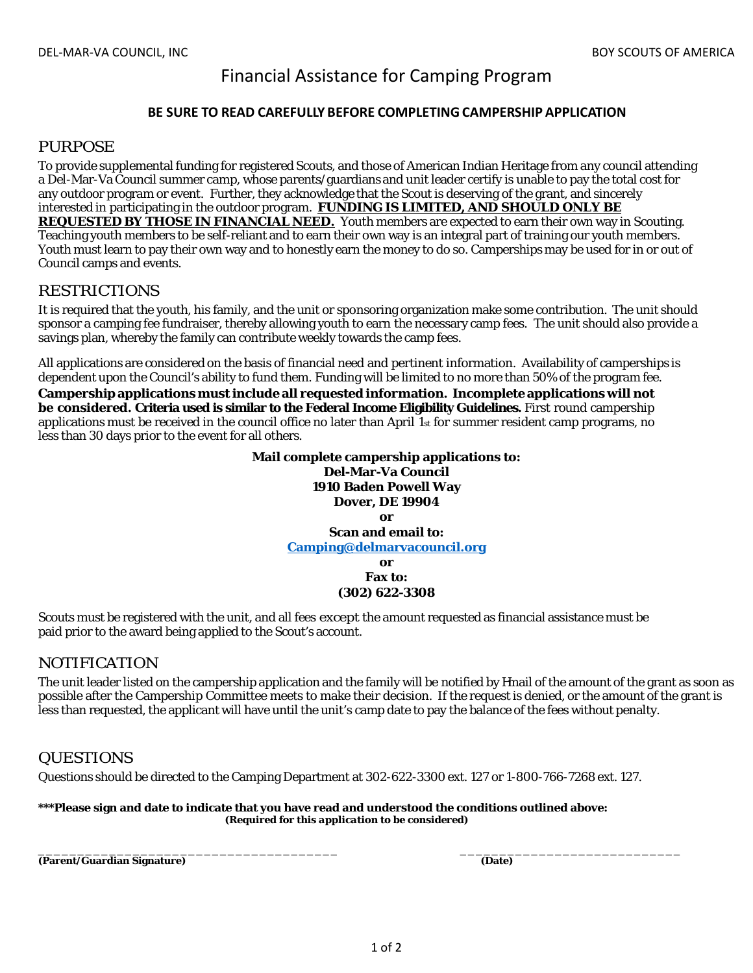# Financial Assistance for Camping Program

#### **BE SURE TO READ CAREFULLY BEFORE COMPLETINGCAMPERSHIP APPLICATION**

## *PURPOSE*

To provide supplemental funding for registered Scouts, and those of American Indian Heritage from any council attending a Del-Mar-Va Council summer camp, whose parents/guardians and unit leader certify is unable to pay the total cost for any outdoor program or event. Further, they acknowledge that the Scout is deserving of the grant, and sincerely interested in participating in the outdoor program. **FUNDING IS LIMITED, AND SHOULD ONLY BE REQUESTED BY THOSE IN FINANCIAL NEED.** Youth members are expected to earn their own way in Scouting. Teaching youth members to be self-reliant and to earn their own way is an integral part of training our youth members. Youth must learn to pay their own way and to honestly earn the money to do so. Camperships may be used for in or out of Council camps and events.

## *RESTRICTIONS*

It is required that the youth, his family, and the unit or sponsoring organization make some contribution. The unit should sponsor a camping fee fundraiser, thereby allowing youth to earn the necessary camp fees. The unit should also provide a savings plan, whereby the family can contribute weekly towards the camp fees.

All applications are considered on the basis of financial need and pertinent information. Availability of camperships is dependent upon the Council's ability to fund them. Funding will be limited to no more than 50% of the program fee.

**Campership applications must include all requested information. Incomplete applications will not be considered. Criteria used is similar to the Federal Income Eligibility Guidelines.** First round campership applications must be received in the council office no later than April 1st for summer resident camp programs, no less than 30 days prior to the event for all others.

> **Mail complete campership applications to: Del-Mar-Va Council 1910 Baden Powell Way Dover, DE 19904 or Scan and email to: Camping@delmarvacouncil.org or Fax to:**

**(302) 622-3308** 

Scouts must be registered with the unit, and all fees except the amount requested as financial assistance must be paid prior to the award being applied to the Scout's account.

## *NOTIFICATION*

The unit leader listed on the campership application and the family will be notified by Ymail of the amount of the grant as soon as possible after the Campership Committee meets to make their decision. If the request is denied, or the amount of the grant is less than requested, the applicant will have until the unit's camp date to pay the balance of the fees without penalty.

## *QUESTIONS*

Questions should be directed to the Camping Department at 302-622-3300 ext. 127 or 1-800-766-7268 ext. 127.

#### **\*\*\*Please sign and date to indicate that you have read and understood the conditions outlined above:** *(Required for this application to be considered)*

\_\_\_\_\_\_\_\_\_\_\_\_\_\_\_\_\_\_\_\_\_\_\_\_\_\_\_\_\_\_\_\_\_\_\_\_\_\_ \_\_\_\_\_\_\_\_\_\_\_\_\_\_\_\_\_\_\_\_\_\_\_\_\_\_\_\_ **(Parent/Guardian Signature) (Date)**